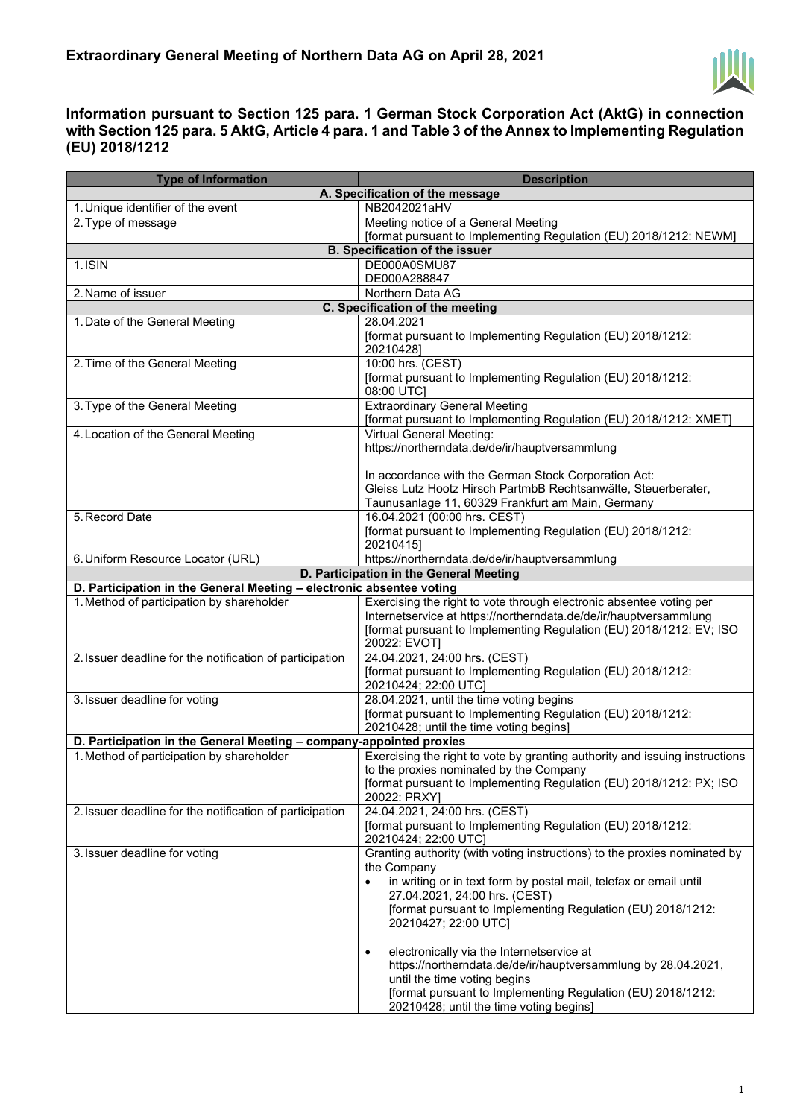

## **Information pursuant to Section 125 para. 1 German Stock Corporation Act (AktG) in connection with Section 125 para. 5 AktG, Article 4 para. 1 and Table 3 of the Annex to Implementing Regulation (EU) 2018/1212**

| <b>Type of Information</b>                                           | <b>Description</b>                                                                                                                                                                                                                                                                                                                                                                                                                                                                                                                                         |  |
|----------------------------------------------------------------------|------------------------------------------------------------------------------------------------------------------------------------------------------------------------------------------------------------------------------------------------------------------------------------------------------------------------------------------------------------------------------------------------------------------------------------------------------------------------------------------------------------------------------------------------------------|--|
|                                                                      | A. Specification of the message                                                                                                                                                                                                                                                                                                                                                                                                                                                                                                                            |  |
| 1. Unique identifier of the event                                    | NB2042021aHV                                                                                                                                                                                                                                                                                                                                                                                                                                                                                                                                               |  |
| 2. Type of message                                                   | Meeting notice of a General Meeting                                                                                                                                                                                                                                                                                                                                                                                                                                                                                                                        |  |
|                                                                      | [format pursuant to Implementing Regulation (EU) 2018/1212: NEWM]                                                                                                                                                                                                                                                                                                                                                                                                                                                                                          |  |
| <b>B. Specification of the issuer</b>                                |                                                                                                                                                                                                                                                                                                                                                                                                                                                                                                                                                            |  |
| 1.ISIN                                                               | DE000A0SMU87<br>DE000A288847                                                                                                                                                                                                                                                                                                                                                                                                                                                                                                                               |  |
| 2. Name of issuer                                                    | Northern Data AG                                                                                                                                                                                                                                                                                                                                                                                                                                                                                                                                           |  |
| C. Specification of the meeting                                      |                                                                                                                                                                                                                                                                                                                                                                                                                                                                                                                                                            |  |
| 1. Date of the General Meeting                                       | 28.04.2021                                                                                                                                                                                                                                                                                                                                                                                                                                                                                                                                                 |  |
|                                                                      | [format pursuant to Implementing Regulation (EU) 2018/1212:<br>20210428]                                                                                                                                                                                                                                                                                                                                                                                                                                                                                   |  |
| 2. Time of the General Meeting                                       | 10:00 hrs. (CEST)<br>[format pursuant to Implementing Regulation (EU) 2018/1212:<br>08:00 UTC]                                                                                                                                                                                                                                                                                                                                                                                                                                                             |  |
| 3. Type of the General Meeting                                       | <b>Extraordinary General Meeting</b><br>[format pursuant to Implementing Regulation (EU) 2018/1212: XMET]                                                                                                                                                                                                                                                                                                                                                                                                                                                  |  |
| 4. Location of the General Meeting                                   | Virtual General Meeting:<br>https://northerndata.de/de/ir/hauptversammlung<br>In accordance with the German Stock Corporation Act:<br>Gleiss Lutz Hootz Hirsch PartmbB Rechtsanwälte, Steuerberater,                                                                                                                                                                                                                                                                                                                                                       |  |
| 5. Record Date                                                       | Taunusanlage 11, 60329 Frankfurt am Main, Germany<br>16.04.2021 (00:00 hrs. CEST)                                                                                                                                                                                                                                                                                                                                                                                                                                                                          |  |
|                                                                      | [format pursuant to Implementing Regulation (EU) 2018/1212:<br>20210415]                                                                                                                                                                                                                                                                                                                                                                                                                                                                                   |  |
| 6. Uniform Resource Locator (URL)                                    | https://northerndata.de/de/ir/hauptversammlung                                                                                                                                                                                                                                                                                                                                                                                                                                                                                                             |  |
| D. Participation in the General Meeting                              |                                                                                                                                                                                                                                                                                                                                                                                                                                                                                                                                                            |  |
| D. Participation in the General Meeting - electronic absentee voting |                                                                                                                                                                                                                                                                                                                                                                                                                                                                                                                                                            |  |
| 1. Method of participation by shareholder                            | Exercising the right to vote through electronic absentee voting per<br>Internetservice at https://northerndata.de/de/ir/hauptversammlung<br>[format pursuant to Implementing Regulation (EU) 2018/1212: EV; ISO<br>20022: EVOT]                                                                                                                                                                                                                                                                                                                            |  |
| 2. Issuer deadline for the notification of participation             | 24.04.2021, 24:00 hrs. (CEST)<br>[format pursuant to Implementing Regulation (EU) 2018/1212:<br>20210424; 22:00 UTC]                                                                                                                                                                                                                                                                                                                                                                                                                                       |  |
| 3. Issuer deadline for voting                                        | 28.04.2021, until the time voting begins<br>[format pursuant to Implementing Regulation (EU) 2018/1212:<br>20210428; until the time voting begins]                                                                                                                                                                                                                                                                                                                                                                                                         |  |
| D. Participation in the General Meeting - company-appointed proxies  |                                                                                                                                                                                                                                                                                                                                                                                                                                                                                                                                                            |  |
| 1. Method of participation by shareholder                            | Exercising the right to vote by granting authority and issuing instructions<br>to the proxies nominated by the Company<br>[format pursuant to Implementing Regulation (EU) 2018/1212: PX; ISO<br>20022: PRXY]                                                                                                                                                                                                                                                                                                                                              |  |
| 2. Issuer deadline for the notification of participation             | 24.04.2021, 24:00 hrs. (CEST)<br>[format pursuant to Implementing Regulation (EU) 2018/1212:<br>20210424; 22:00 UTC]                                                                                                                                                                                                                                                                                                                                                                                                                                       |  |
| 3. Issuer deadline for voting                                        | Granting authority (with voting instructions) to the proxies nominated by<br>the Company<br>in writing or in text form by postal mail, telefax or email until<br>27.04.2021, 24:00 hrs. (CEST)<br>[format pursuant to Implementing Regulation (EU) 2018/1212:<br>20210427; 22:00 UTC]<br>electronically via the Internetservice at<br>$\bullet$<br>https://northerndata.de/de/ir/hauptversammlung by 28.04.2021,<br>until the time voting begins<br>[format pursuant to Implementing Regulation (EU) 2018/1212:<br>20210428; until the time voting begins] |  |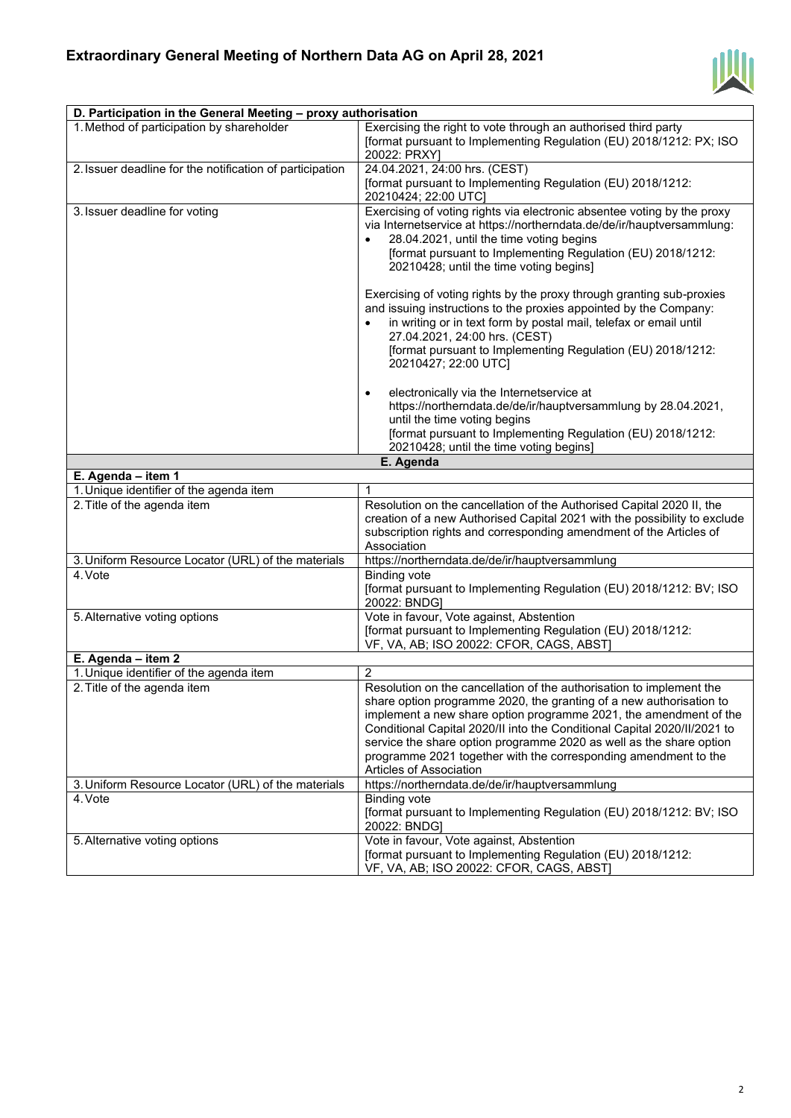

| D. Participation in the General Meeting - proxy authorisation |                                                                                                                                                                                                                                                                                                                                                                                                                                                                   |  |
|---------------------------------------------------------------|-------------------------------------------------------------------------------------------------------------------------------------------------------------------------------------------------------------------------------------------------------------------------------------------------------------------------------------------------------------------------------------------------------------------------------------------------------------------|--|
| 1. Method of participation by shareholder                     | Exercising the right to vote through an authorised third party                                                                                                                                                                                                                                                                                                                                                                                                    |  |
|                                                               | [format pursuant to Implementing Regulation (EU) 2018/1212: PX; ISO<br>20022: PRXY]                                                                                                                                                                                                                                                                                                                                                                               |  |
| 2. Issuer deadline for the notification of participation      | 24.04.2021, 24:00 hrs. (CEST)                                                                                                                                                                                                                                                                                                                                                                                                                                     |  |
|                                                               | [format pursuant to Implementing Regulation (EU) 2018/1212:<br>20210424; 22:00 UTC]                                                                                                                                                                                                                                                                                                                                                                               |  |
| 3. Issuer deadline for voting                                 | Exercising of voting rights via electronic absentee voting by the proxy<br>via Internetservice at https://northerndata.de/de/ir/hauptversammlung:<br>28.04.2021, until the time voting begins<br>[format pursuant to Implementing Regulation (EU) 2018/1212:<br>20210428; until the time voting begins]<br>Exercising of voting rights by the proxy through granting sub-proxies<br>and issuing instructions to the proxies appointed by the Company:             |  |
|                                                               | in writing or in text form by postal mail, telefax or email until<br>27.04.2021, 24:00 hrs. (CEST)<br>[format pursuant to Implementing Regulation (EU) 2018/1212:<br>20210427; 22:00 UTC]                                                                                                                                                                                                                                                                         |  |
|                                                               | electronically via the Internetservice at<br>$\bullet$<br>https://northerndata.de/de/ir/hauptversammlung by 28.04.2021,<br>until the time voting begins<br>[format pursuant to Implementing Regulation (EU) 2018/1212:<br>20210428; until the time voting begins]                                                                                                                                                                                                 |  |
|                                                               | E. Agenda                                                                                                                                                                                                                                                                                                                                                                                                                                                         |  |
| E. Agenda - item 1                                            |                                                                                                                                                                                                                                                                                                                                                                                                                                                                   |  |
| 1. Unique identifier of the agenda item                       | 1                                                                                                                                                                                                                                                                                                                                                                                                                                                                 |  |
| 2. Title of the agenda item                                   | Resolution on the cancellation of the Authorised Capital 2020 II, the<br>creation of a new Authorised Capital 2021 with the possibility to exclude<br>subscription rights and corresponding amendment of the Articles of<br>Association                                                                                                                                                                                                                           |  |
| 3. Uniform Resource Locator (URL) of the materials            | https://northerndata.de/de/ir/hauptversammlung                                                                                                                                                                                                                                                                                                                                                                                                                    |  |
| 4. Vote                                                       | <b>Binding vote</b><br>[format pursuant to Implementing Regulation (EU) 2018/1212: BV; ISO<br>20022: BNDG]                                                                                                                                                                                                                                                                                                                                                        |  |
| 5. Alternative voting options                                 | Vote in favour, Vote against, Abstention<br>[format pursuant to Implementing Regulation (EU) 2018/1212:<br>VF, VA, AB; ISO 20022: CFOR, CAGS, ABST)                                                                                                                                                                                                                                                                                                               |  |
| E. Agenda - item 2                                            |                                                                                                                                                                                                                                                                                                                                                                                                                                                                   |  |
| 1. Unique identifier of the agenda item                       | 2                                                                                                                                                                                                                                                                                                                                                                                                                                                                 |  |
| 2. Title of the agenda item                                   | Resolution on the cancellation of the authorisation to implement the<br>share option programme 2020, the granting of a new authorisation to<br>implement a new share option programme 2021, the amendment of the<br>Conditional Capital 2020/II into the Conditional Capital 2020/II/2021 to<br>service the share option programme 2020 as well as the share option<br>programme 2021 together with the corresponding amendment to the<br>Articles of Association |  |
| 3. Uniform Resource Locator (URL) of the materials            | https://northerndata.de/de/ir/hauptversammlung                                                                                                                                                                                                                                                                                                                                                                                                                    |  |
| 4. Vote                                                       | <b>Binding vote</b><br>[format pursuant to Implementing Regulation (EU) 2018/1212: BV; ISO<br>20022: BNDG]                                                                                                                                                                                                                                                                                                                                                        |  |
| 5. Alternative voting options                                 | Vote in favour, Vote against, Abstention<br>[format pursuant to Implementing Regulation (EU) 2018/1212:<br>VF, VA, AB; ISO 20022: CFOR, CAGS, ABST]                                                                                                                                                                                                                                                                                                               |  |